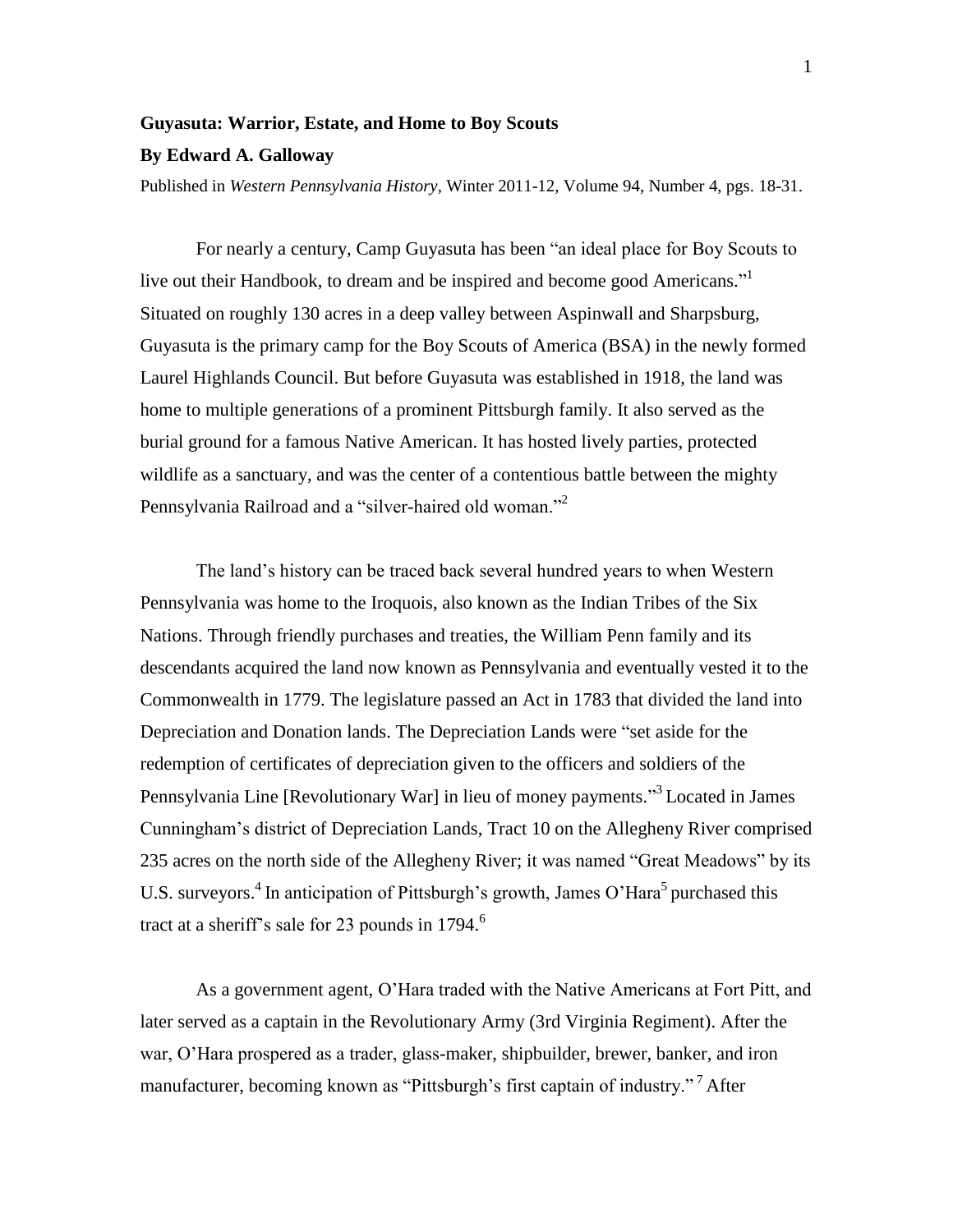## **Guyasuta: Warrior, Estate, and Home to Boy Scouts**

## **By Edward A. Galloway**

Published in *Western Pennsylvania History*, Winter 2011-12, Volume 94, Number 4, pgs. 18-31.

For nearly a century, Camp Guyasuta has been "an ideal place for Boy Scouts to live out their Handbook, to dream and be inspired and become good Americans."<sup>1</sup> Situated on roughly 130 acres in a deep valley between Aspinwall and Sharpsburg, Guyasuta is the primary camp for the Boy Scouts of America (BSA) in the newly formed Laurel Highlands Council. But before Guyasuta was established in 1918, the land was home to multiple generations of a prominent Pittsburgh family. It also served as the burial ground for a famous Native American. It has hosted lively parties, protected wildlife as a sanctuary, and was the center of a contentious battle between the mighty Pennsylvania Railroad and a "silver-haired old woman."<sup>2</sup>

The land"s history can be traced back several hundred years to when Western Pennsylvania was home to the Iroquois, also known as the Indian Tribes of the Six Nations. Through friendly purchases and treaties, the William Penn family and its descendants acquired the land now known as Pennsylvania and eventually vested it to the Commonwealth in 1779. The legislature passed an Act in 1783 that divided the land into Depreciation and Donation lands. The Depreciation Lands were "set aside for the redemption of certificates of depreciation given to the officers and soldiers of the Pennsylvania Line [Revolutionary War] in lieu of money payments."<sup>3</sup> Located in James Cunningham"s district of Depreciation Lands, Tract 10 on the Allegheny River comprised 235 acres on the north side of the Allegheny River; it was named "Great Meadows" by its U.S. surveyors.<sup>4</sup> In anticipation of Pittsburgh's growth, James O'Hara<sup>5</sup> purchased this tract at a sheriff's sale for 23 pounds in  $1794$ .<sup>6</sup>

As a government agent, O"Hara traded with the Native Americans at Fort Pitt, and later served as a captain in the Revolutionary Army (3rd Virginia Regiment). After the war, O"Hara prospered as a trader, glass-maker, shipbuilder, brewer, banker, and iron manufacturer, becoming known as "Pittsburgh's first captain of industry."<sup>7</sup> After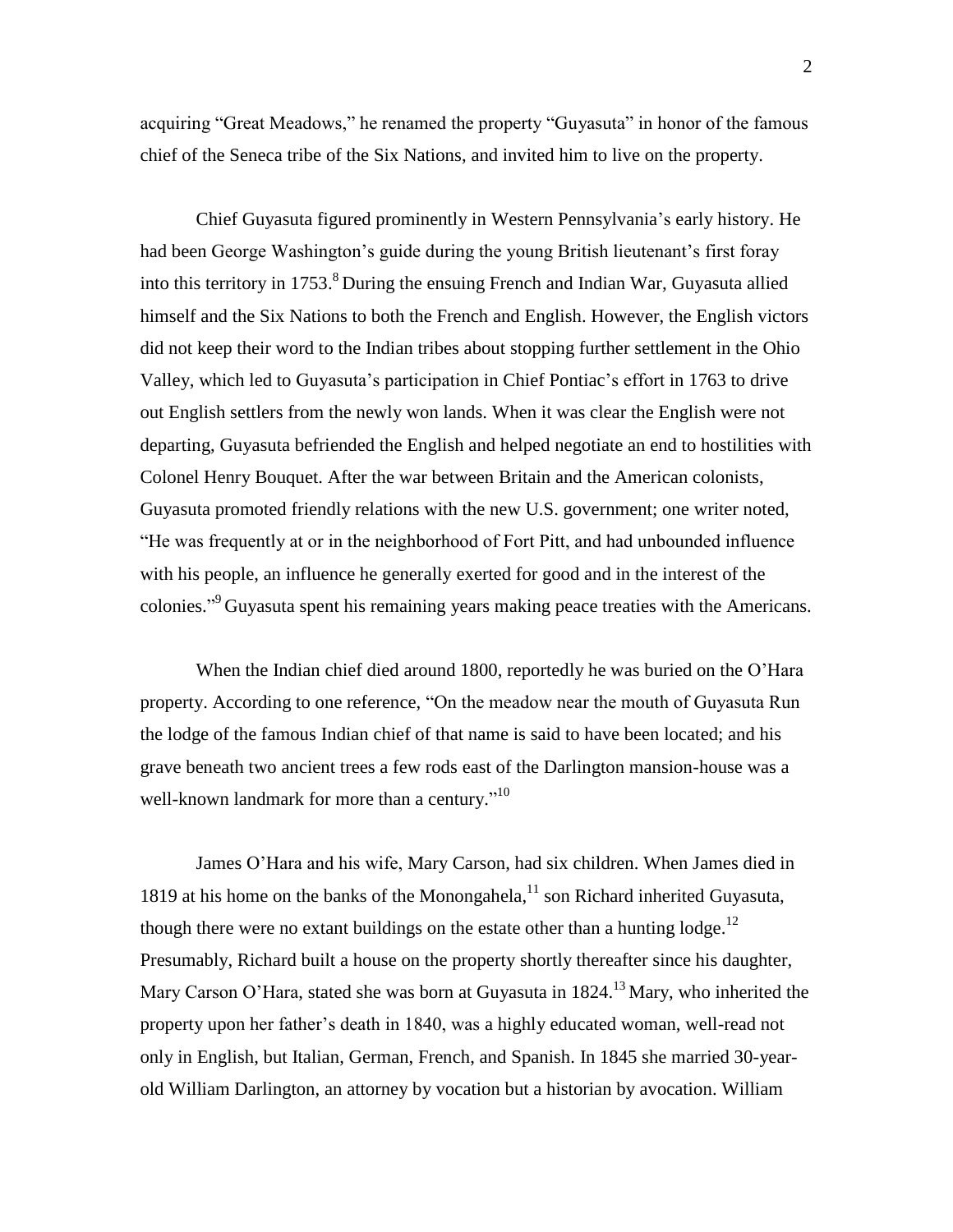acquiring "Great Meadows," he renamed the property "Guyasuta" in honor of the famous chief of the Seneca tribe of the Six Nations, and invited him to live on the property.

Chief Guyasuta figured prominently in Western Pennsylvania"s early history. He had been George Washington's guide during the young British lieutenant's first foray into this territory in  $1753$ .<sup>8</sup> During the ensuing French and Indian War, Guyasuta allied himself and the Six Nations to both the French and English. However, the English victors did not keep their word to the Indian tribes about stopping further settlement in the Ohio Valley, which led to Guyasuta's participation in Chief Pontiac's effort in 1763 to drive out English settlers from the newly won lands. When it was clear the English were not departing, Guyasuta befriended the English and helped negotiate an end to hostilities with Colonel Henry Bouquet. After the war between Britain and the American colonists, Guyasuta promoted friendly relations with the new U.S. government; one writer noted, "He was frequently at or in the neighborhood of Fort Pitt, and had unbounded influence with his people, an influence he generally exerted for good and in the interest of the colonies."<sup>9</sup> Guyasuta spent his remaining years making peace treaties with the Americans.

When the Indian chief died around 1800, reportedly he was buried on the O"Hara property. According to one reference, "On the meadow near the mouth of Guyasuta Run the lodge of the famous Indian chief of that name is said to have been located; and his grave beneath two ancient trees a few rods east of the Darlington mansion-house was a well-known landmark for more than a century."<sup>10</sup>

James O"Hara and his wife, Mary Carson, had six children. When James died in 1819 at his home on the banks of the Monongahela, $^{11}$  son Richard inherited Guyasuta, though there were no extant buildings on the estate other than a hunting  $\log e$ .<sup>12</sup> Presumably, Richard built a house on the property shortly thereafter since his daughter, Mary Carson O'Hara, stated she was born at Guyasuta in  $1824$ <sup>13</sup> Mary, who inherited the property upon her father"s death in 1840, was a highly educated woman, well-read not only in English, but Italian, German, French, and Spanish. In 1845 she married 30-yearold William Darlington, an attorney by vocation but a historian by avocation. William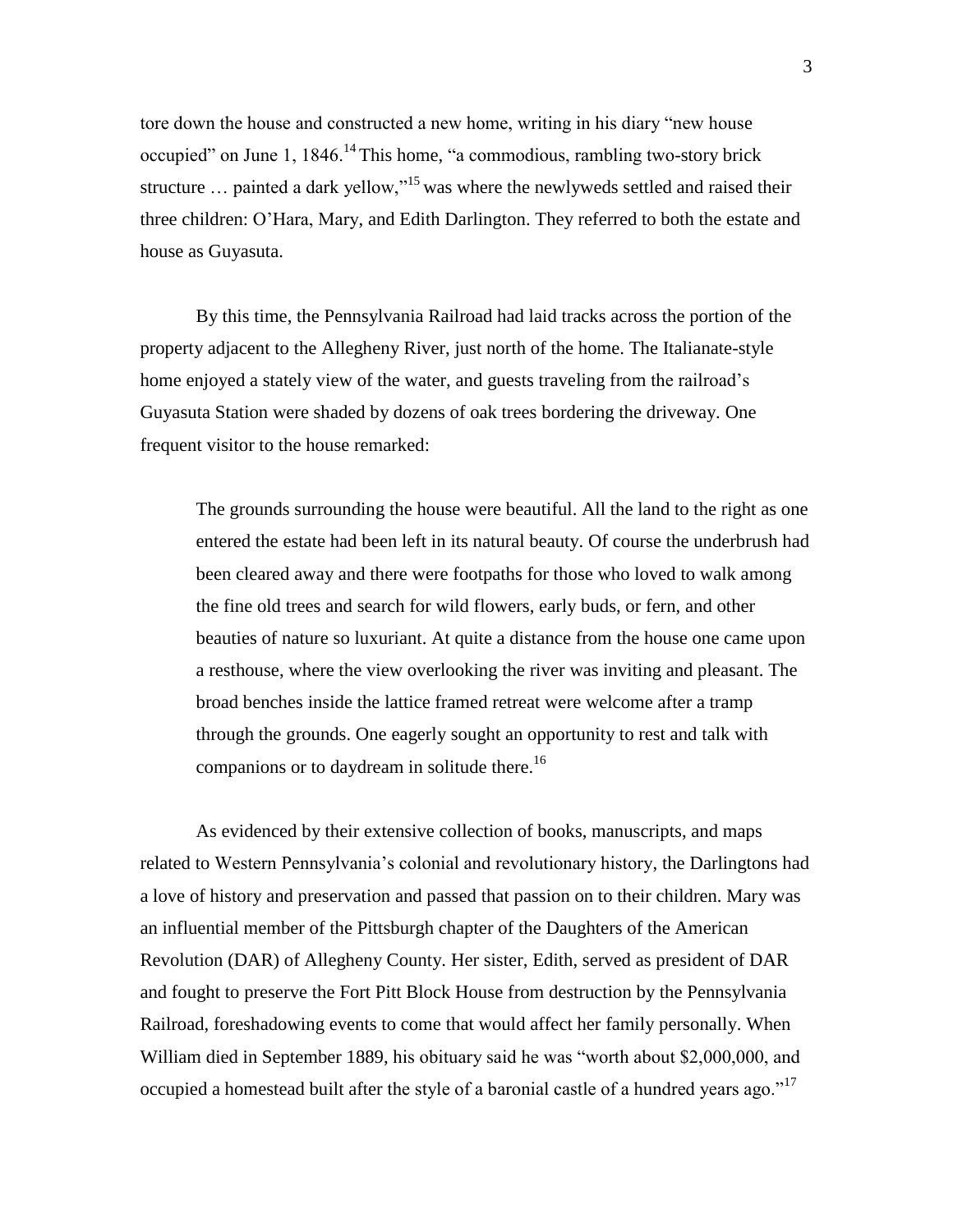tore down the house and constructed a new home, writing in his diary "new house occupied" on June 1,  $1846$ .<sup>14</sup>This home, "a commodious, rambling two-story brick structure  $\ldots$  painted a dark yellow,"<sup>15</sup> was where the newlyweds settled and raised their three children: O"Hara, Mary, and Edith Darlington. They referred to both the estate and house as Guyasuta.

By this time, the Pennsylvania Railroad had laid tracks across the portion of the property adjacent to the Allegheny River, just north of the home. The Italianate-style home enjoyed a stately view of the water, and guests traveling from the railroad's Guyasuta Station were shaded by dozens of oak trees bordering the driveway. One frequent visitor to the house remarked:

The grounds surrounding the house were beautiful. All the land to the right as one entered the estate had been left in its natural beauty. Of course the underbrush had been cleared away and there were footpaths for those who loved to walk among the fine old trees and search for wild flowers, early buds, or fern, and other beauties of nature so luxuriant. At quite a distance from the house one came upon a resthouse, where the view overlooking the river was inviting and pleasant. The broad benches inside the lattice framed retreat were welcome after a tramp through the grounds. One eagerly sought an opportunity to rest and talk with companions or to daydream in solitude there.<sup>16</sup>

As evidenced by their extensive collection of books, manuscripts, and maps related to Western Pennsylvania"s colonial and revolutionary history, the Darlingtons had a love of history and preservation and passed that passion on to their children. Mary was an influential member of the Pittsburgh chapter of the Daughters of the American Revolution (DAR) of Allegheny County. Her sister, Edith, served as president of DAR and fought to preserve the Fort Pitt Block House from destruction by the Pennsylvania Railroad, foreshadowing events to come that would affect her family personally. When William died in September 1889, his obituary said he was "worth about \$2,000,000, and occupied a homestead built after the style of a baronial castle of a hundred years ago."<sup>17</sup>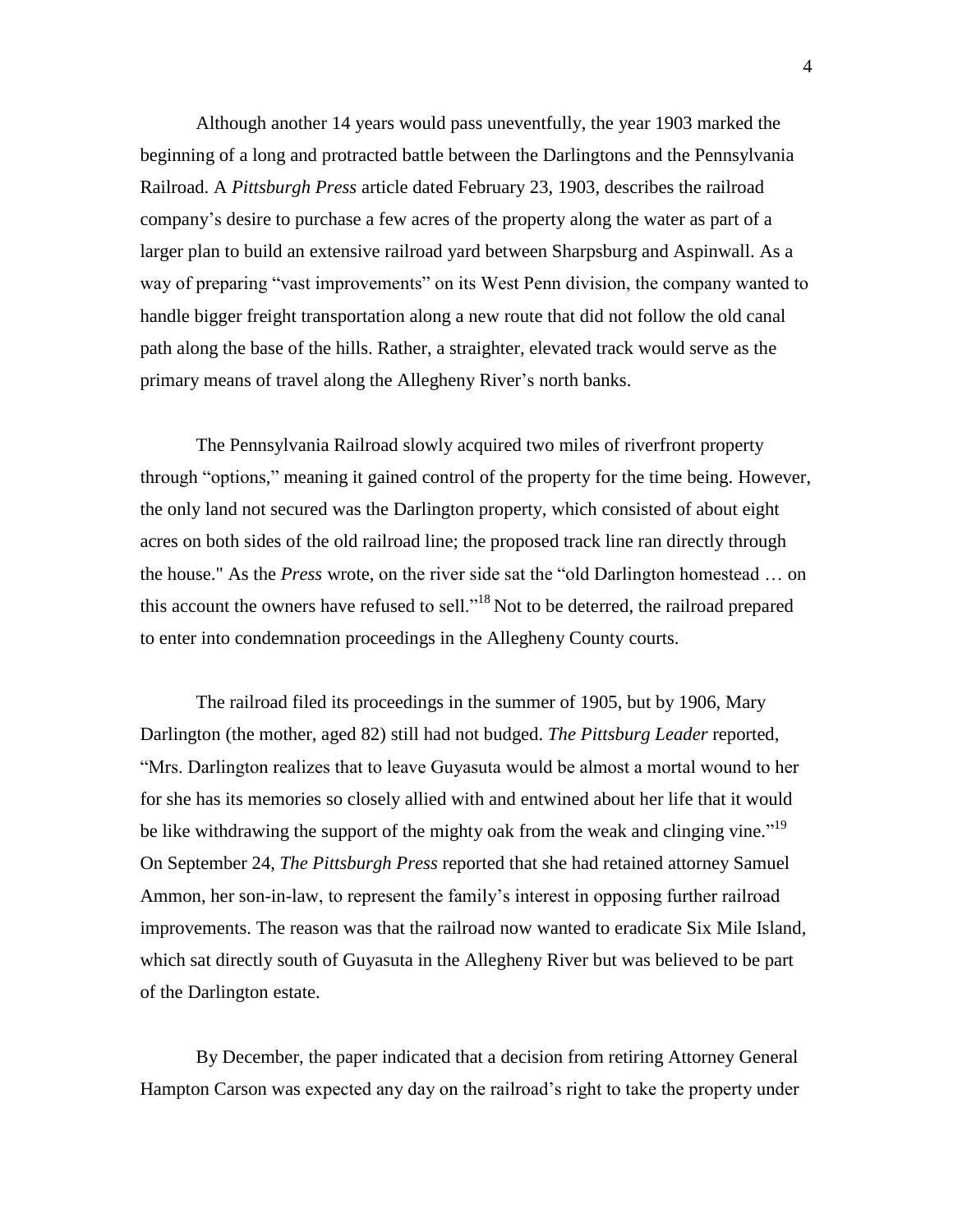Although another 14 years would pass uneventfully, the year 1903 marked the beginning of a long and protracted battle between the Darlingtons and the Pennsylvania Railroad. A *Pittsburgh Press* article dated February 23, 1903, describes the railroad company"s desire to purchase a few acres of the property along the water as part of a larger plan to build an extensive railroad yard between Sharpsburg and Aspinwall. As a way of preparing "vast improvements" on its West Penn division, the company wanted to handle bigger freight transportation along a new route that did not follow the old canal path along the base of the hills. Rather, a straighter, elevated track would serve as the primary means of travel along the Allegheny River"s north banks.

The Pennsylvania Railroad slowly acquired two miles of riverfront property through "options," meaning it gained control of the property for the time being. However, the only land not secured was the Darlington property, which consisted of about eight acres on both sides of the old railroad line; the proposed track line ran directly through the house." As the *Press* wrote, on the river side sat the "old Darlington homestead … on this account the owners have refused to sell."<sup>18</sup> Not to be deterred, the railroad prepared to enter into condemnation proceedings in the Allegheny County courts.

The railroad filed its proceedings in the summer of 1905, but by 1906, Mary Darlington (the mother, aged 82) still had not budged. *The Pittsburg Leader* reported, "Mrs. Darlington realizes that to leave Guyasuta would be almost a mortal wound to her for she has its memories so closely allied with and entwined about her life that it would be like withdrawing the support of the mighty oak from the weak and clinging vine.<sup> $19$ </sup> On September 24, *The Pittsburgh Press* reported that she had retained attorney Samuel Ammon, her son-in-law, to represent the family"s interest in opposing further railroad improvements. The reason was that the railroad now wanted to eradicate Six Mile Island, which sat directly south of Guyasuta in the Allegheny River but was believed to be part of the Darlington estate.

By December, the paper indicated that a decision from retiring Attorney General Hampton Carson was expected any day on the railroad's right to take the property under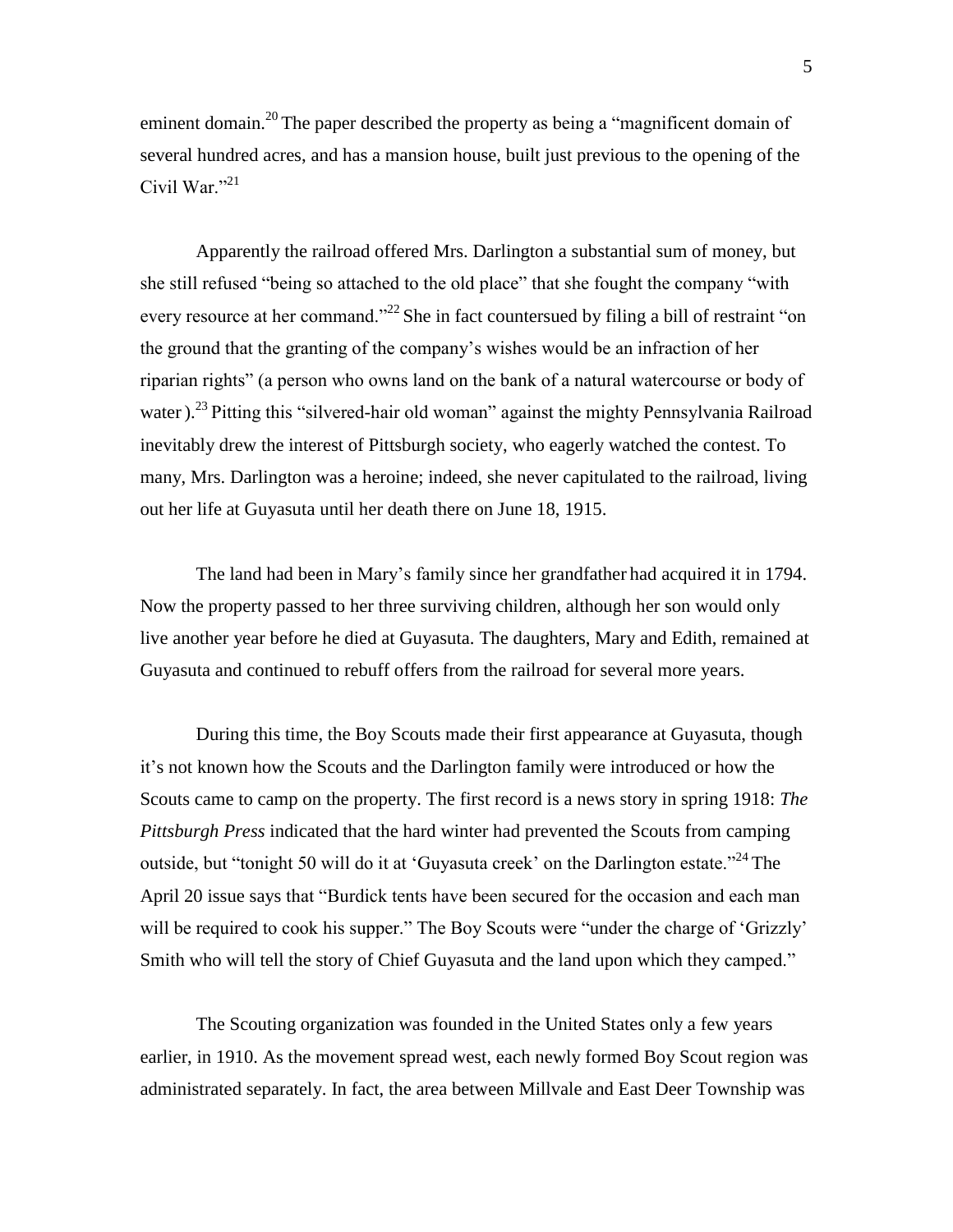eminent domain.<sup>20</sup> The paper described the property as being a "magnificent domain of several hundred acres, and has a mansion house, built just previous to the opening of the Civil War." $^{21}$ 

Apparently the railroad offered Mrs. Darlington a substantial sum of money, but she still refused "being so attached to the old place" that she fought the company "with every resource at her command."<sup>22</sup> She in fact countersued by filing a bill of restraint "on the ground that the granting of the company"s wishes would be an infraction of her riparian rights" (a person who owns land on the bank of a natural watercourse or body of water).<sup>23</sup> Pitting this "silvered-hair old woman" against the mighty Pennsylvania Railroad inevitably drew the interest of Pittsburgh society, who eagerly watched the contest. To many, Mrs. Darlington was a heroine; indeed, she never capitulated to the railroad, living out her life at Guyasuta until her death there on June 18, 1915.

The land had been in Mary"s family since her grandfather had acquired it in 1794. Now the property passed to her three surviving children, although her son would only live another year before he died at Guyasuta. The daughters, Mary and Edith, remained at Guyasuta and continued to rebuff offers from the railroad for several more years.

During this time, the Boy Scouts made their first appearance at Guyasuta, though it"s not known how the Scouts and the Darlington family were introduced or how the Scouts came to camp on the property. The first record is a news story in spring 1918: *The Pittsburgh Press* indicated that the hard winter had prevented the Scouts from camping outside, but "tonight 50 will do it at 'Guyasuta creek' on the Darlington estate."<sup>24</sup> The April 20 issue says that "Burdick tents have been secured for the occasion and each man will be required to cook his supper." The Boy Scouts were "under the charge of 'Grizzly' Smith who will tell the story of Chief Guyasuta and the land upon which they camped."

The Scouting organization was founded in the United States only a few years earlier, in 1910. As the movement spread west, each newly formed Boy Scout region was administrated separately. In fact, the area between Millvale and East Deer Township was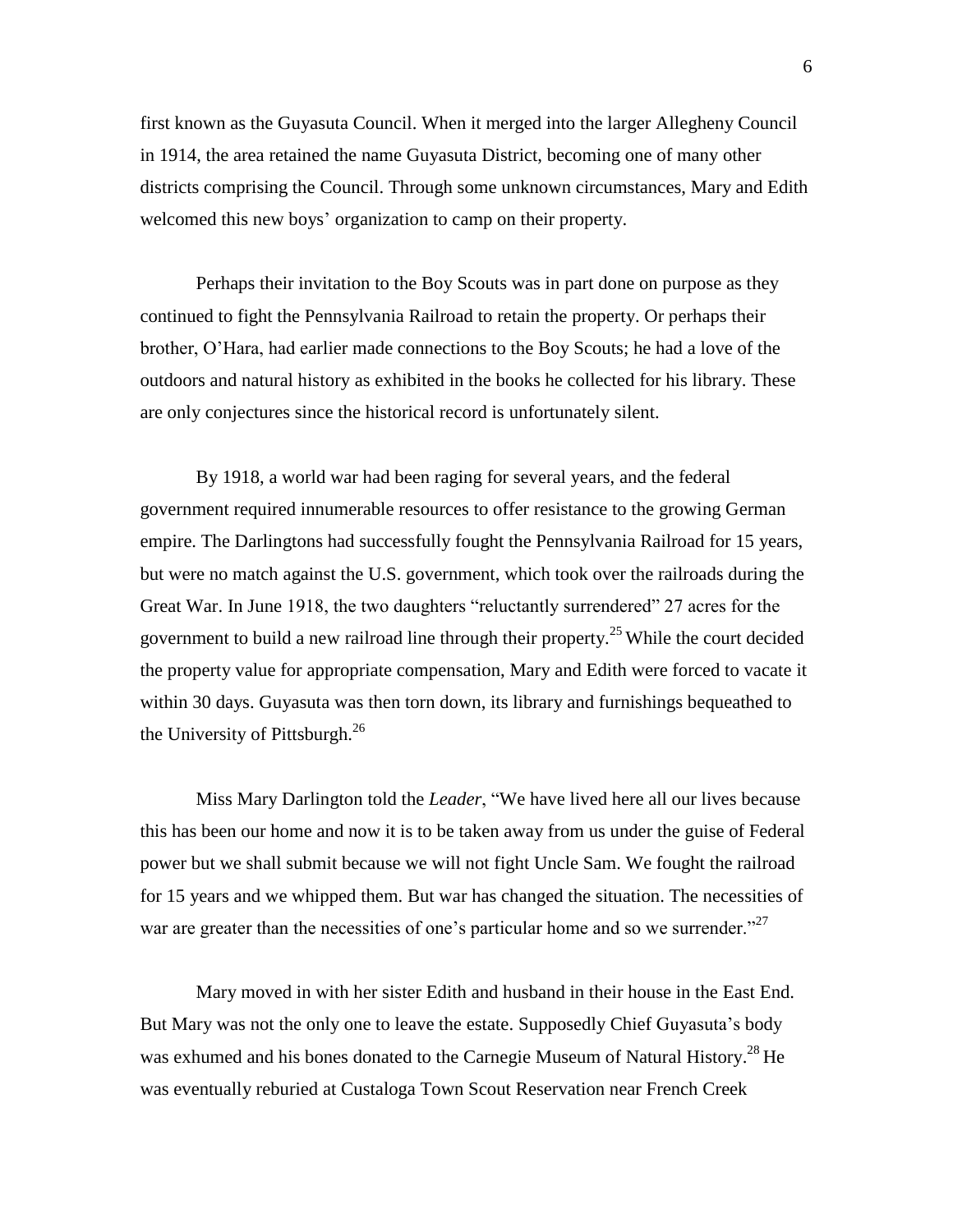first known as the Guyasuta Council. When it merged into the larger Allegheny Council in 1914, the area retained the name Guyasuta District, becoming one of many other districts comprising the Council. Through some unknown circumstances, Mary and Edith welcomed this new boys' organization to camp on their property.

Perhaps their invitation to the Boy Scouts was in part done on purpose as they continued to fight the Pennsylvania Railroad to retain the property. Or perhaps their brother, O"Hara, had earlier made connections to the Boy Scouts; he had a love of the outdoors and natural history as exhibited in the books he collected for his library. These are only conjectures since the historical record is unfortunately silent.

By 1918, a world war had been raging for several years, and the federal government required innumerable resources to offer resistance to the growing German empire. The Darlingtons had successfully fought the Pennsylvania Railroad for 15 years, but were no match against the U.S. government, which took over the railroads during the Great War. In June 1918, the two daughters "reluctantly surrendered" 27 acres for the government to build a new railroad line through their property.<sup>25</sup> While the court decided the property value for appropriate compensation, Mary and Edith were forced to vacate it within 30 days. Guyasuta was then torn down, its library and furnishings bequeathed to the University of Pittsburgh. $^{26}$ 

Miss Mary Darlington told the *Leader*, "We have lived here all our lives because this has been our home and now it is to be taken away from us under the guise of Federal power but we shall submit because we will not fight Uncle Sam. We fought the railroad for 15 years and we whipped them. But war has changed the situation. The necessities of war are greater than the necessities of one's particular home and so we surrender. $27$ 

Mary moved in with her sister Edith and husband in their house in the East End. But Mary was not the only one to leave the estate. Supposedly Chief Guyasuta"s body was exhumed and his bones donated to the Carnegie Museum of Natural History.<sup>28</sup> He was eventually reburied at Custaloga Town Scout Reservation near French Creek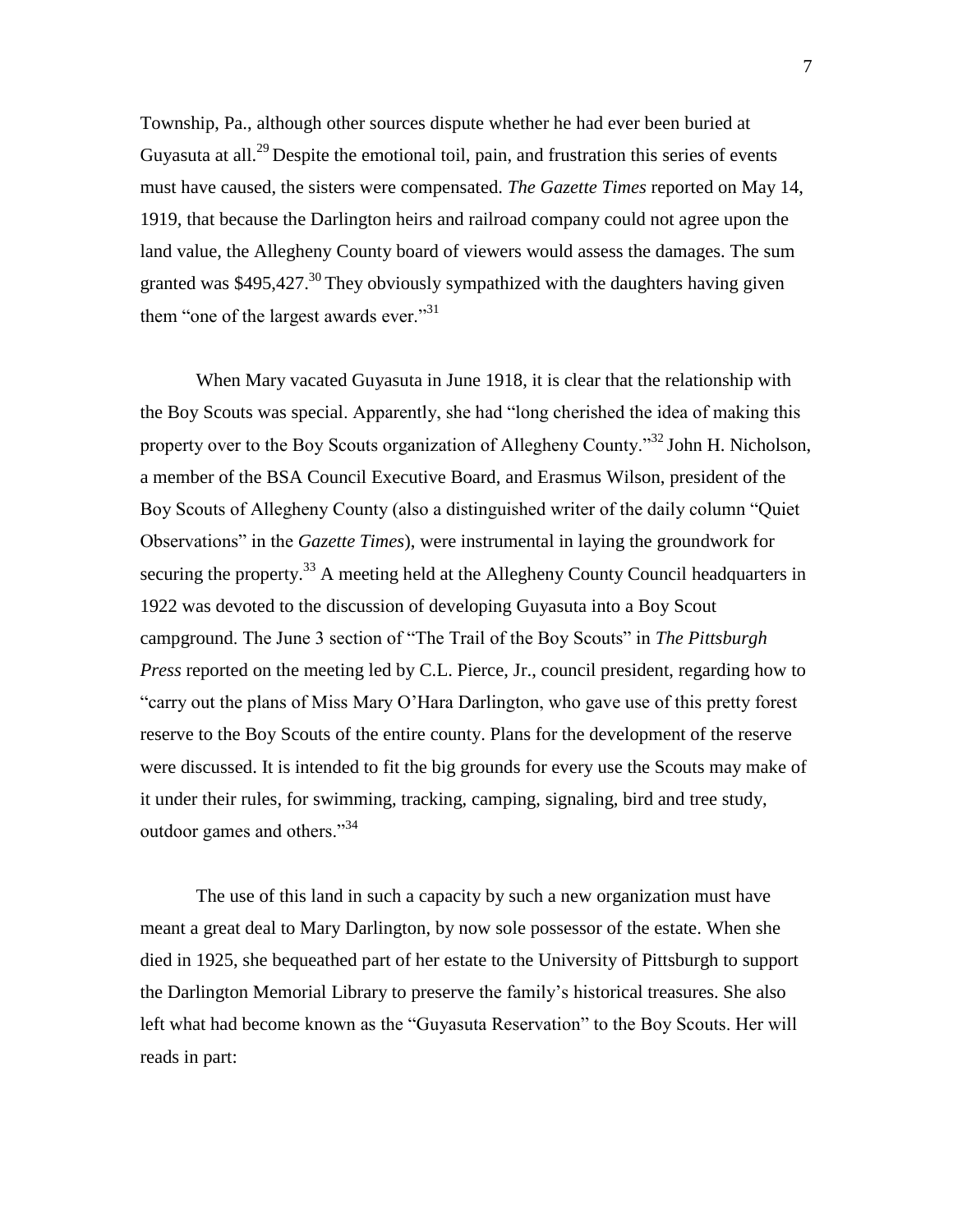Township, Pa., although other sources dispute whether he had ever been buried at Guyasuta at all.<sup>29</sup> Despite the emotional toil, pain, and frustration this series of events must have caused, the sisters were compensated. *The Gazette Times* reported on May 14, 1919, that because the Darlington heirs and railroad company could not agree upon the land value, the Allegheny County board of viewers would assess the damages. The sum granted was \$495,427.<sup>30</sup> They obviously sympathized with the daughters having given them "one of the largest awards ever."<sup>31</sup>

When Mary vacated Guyasuta in June 1918, it is clear that the relationship with the Boy Scouts was special. Apparently, she had "long cherished the idea of making this property over to the Boy Scouts organization of Allegheny County."<sup>32</sup> John H. Nicholson, a member of the BSA Council Executive Board, and Erasmus Wilson, president of the Boy Scouts of Allegheny County (also a distinguished writer of the daily column "Quiet Observations" in the *Gazette Times*), were instrumental in laying the groundwork for securing the property.<sup>33</sup> A meeting held at the Allegheny County Council headquarters in 1922 was devoted to the discussion of developing Guyasuta into a Boy Scout campground. The June 3 section of "The Trail of the Boy Scouts" in *The Pittsburgh Press* reported on the meeting led by C.L. Pierce, Jr., council president, regarding how to "carry out the plans of Miss Mary O"Hara Darlington, who gave use of this pretty forest reserve to the Boy Scouts of the entire county. Plans for the development of the reserve were discussed. It is intended to fit the big grounds for every use the Scouts may make of it under their rules, for swimming, tracking, camping, signaling, bird and tree study, outdoor games and others."<sup>34</sup>

The use of this land in such a capacity by such a new organization must have meant a great deal to Mary Darlington, by now sole possessor of the estate. When she died in 1925, she bequeathed part of her estate to the University of Pittsburgh to support the Darlington Memorial Library to preserve the family"s historical treasures. She also left what had become known as the "Guyasuta Reservation" to the Boy Scouts. Her will reads in part: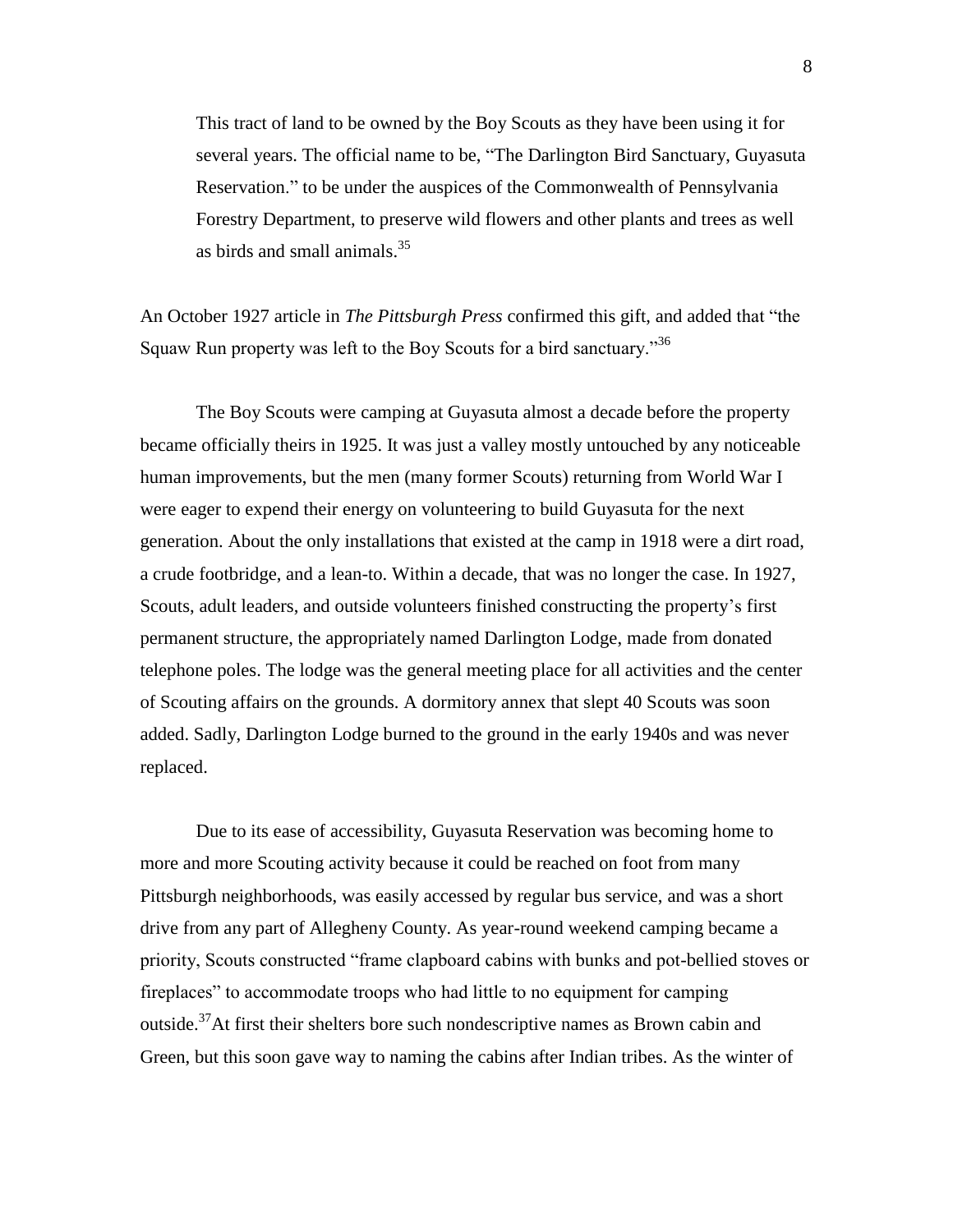This tract of land to be owned by the Boy Scouts as they have been using it for several years. The official name to be, "The Darlington Bird Sanctuary, Guyasuta Reservation." to be under the auspices of the Commonwealth of Pennsylvania Forestry Department, to preserve wild flowers and other plants and trees as well as birds and small animals. $35$ 

An October 1927 article in *The Pittsburgh Press* confirmed this gift, and added that "the Squaw Run property was left to the Boy Scouts for a bird sanctuary."<sup>36</sup>

The Boy Scouts were camping at Guyasuta almost a decade before the property became officially theirs in 1925. It was just a valley mostly untouched by any noticeable human improvements, but the men (many former Scouts) returning from World War I were eager to expend their energy on volunteering to build Guyasuta for the next generation. About the only installations that existed at the camp in 1918 were a dirt road, a crude footbridge, and a lean-to. Within a decade, that was no longer the case. In 1927, Scouts, adult leaders, and outside volunteers finished constructing the property"s first permanent structure, the appropriately named Darlington Lodge, made from donated telephone poles. The lodge was the general meeting place for all activities and the center of Scouting affairs on the grounds. A dormitory annex that slept 40 Scouts was soon added. Sadly, Darlington Lodge burned to the ground in the early 1940s and was never replaced.

Due to its ease of accessibility, Guyasuta Reservation was becoming home to more and more Scouting activity because it could be reached on foot from many Pittsburgh neighborhoods, was easily accessed by regular bus service, and was a short drive from any part of Allegheny County. As year-round weekend camping became a priority, Scouts constructed "frame clapboard cabins with bunks and pot-bellied stoves or fireplaces" to accommodate troops who had little to no equipment for camping outside.<sup>37</sup>At first their shelters bore such nondescriptive names as Brown cabin and Green, but this soon gave way to naming the cabins after Indian tribes. As the winter of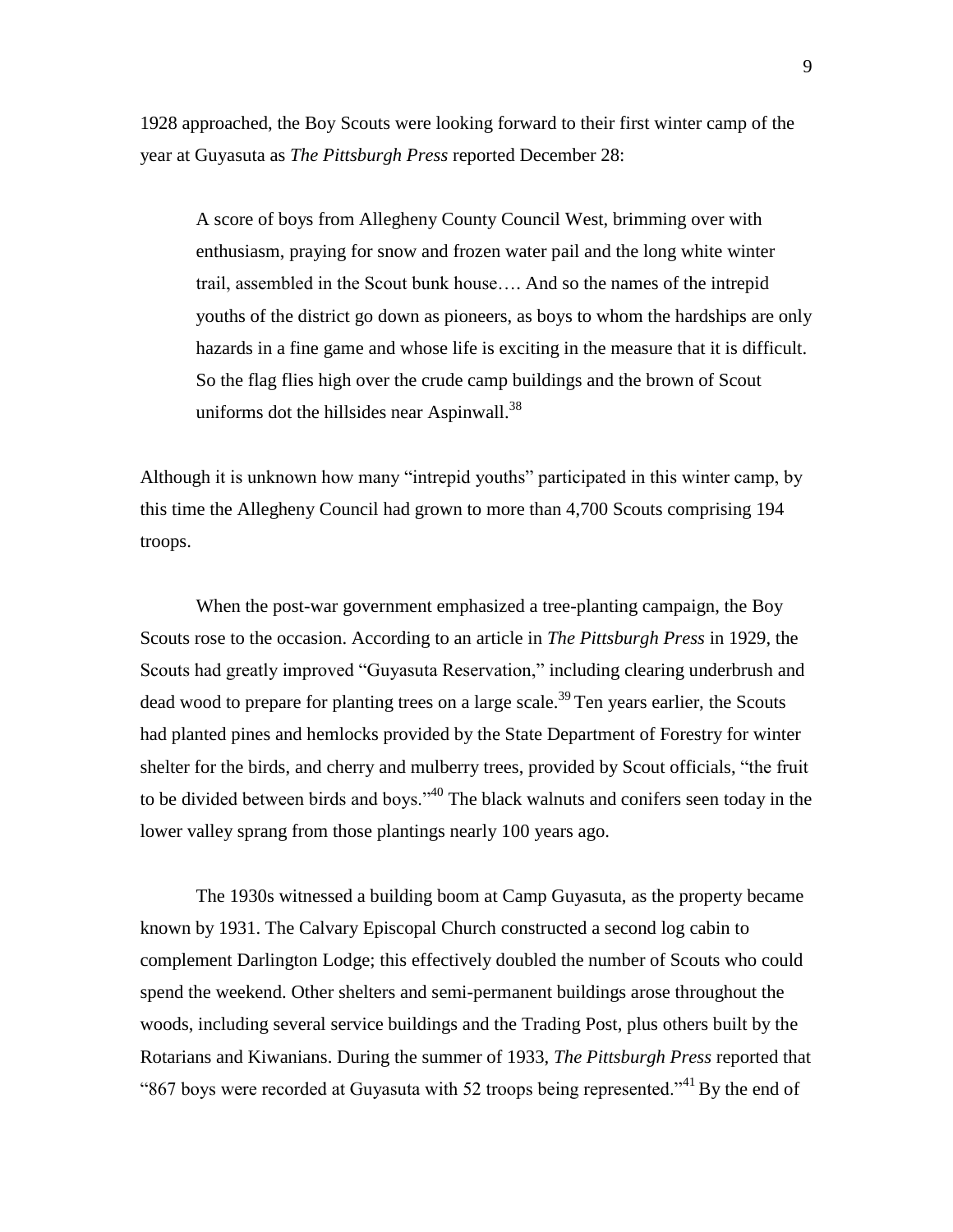1928 approached, the Boy Scouts were looking forward to their first winter camp of the year at Guyasuta as *The Pittsburgh Press* reported December 28:

A score of boys from Allegheny County Council West, brimming over with enthusiasm, praying for snow and frozen water pail and the long white winter trail, assembled in the Scout bunk house…. And so the names of the intrepid youths of the district go down as pioneers, as boys to whom the hardships are only hazards in a fine game and whose life is exciting in the measure that it is difficult. So the flag flies high over the crude camp buildings and the brown of Scout uniforms dot the hillsides near Aspinwall. $^{38}$ 

Although it is unknown how many "intrepid youths" participated in this winter camp, by this time the Allegheny Council had grown to more than 4,700 Scouts comprising 194 troops.

When the post-war government emphasized a tree-planting campaign, the Boy Scouts rose to the occasion. According to an article in *The Pittsburgh Press* in 1929, the Scouts had greatly improved "Guyasuta Reservation," including clearing underbrush and dead wood to prepare for planting trees on a large scale.<sup>39</sup> Ten years earlier, the Scouts had planted pines and hemlocks provided by the State Department of Forestry for winter shelter for the birds, and cherry and mulberry trees, provided by Scout officials, "the fruit to be divided between birds and boys."<sup>40</sup> The black walnuts and conifers seen today in the lower valley sprang from those plantings nearly 100 years ago.

The 1930s witnessed a building boom at Camp Guyasuta, as the property became known by 1931. The Calvary Episcopal Church constructed a second log cabin to complement Darlington Lodge; this effectively doubled the number of Scouts who could spend the weekend. Other shelters and semi-permanent buildings arose throughout the woods, including several service buildings and the Trading Post, plus others built by the Rotarians and Kiwanians. During the summer of 1933, *The Pittsburgh Press* reported that "867 boys were recorded at Guyasuta with 52 troops being represented."<sup>41</sup> By the end of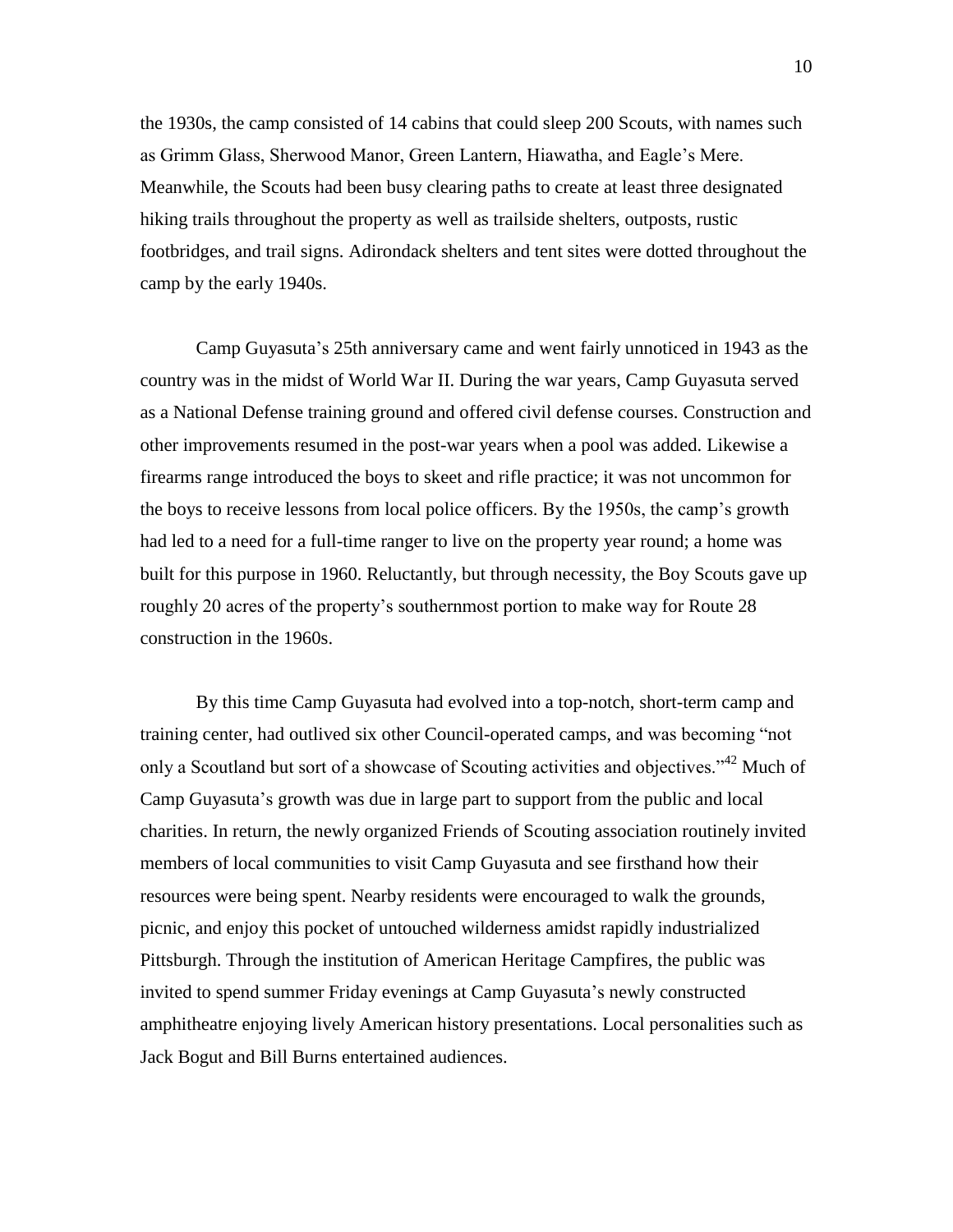the 1930s, the camp consisted of 14 cabins that could sleep 200 Scouts, with names such as Grimm Glass, Sherwood Manor, Green Lantern, Hiawatha, and Eagle"s Mere. Meanwhile, the Scouts had been busy clearing paths to create at least three designated hiking trails throughout the property as well as trailside shelters, outposts, rustic footbridges, and trail signs. Adirondack shelters and tent sites were dotted throughout the camp by the early 1940s.

Camp Guyasuta"s 25th anniversary came and went fairly unnoticed in 1943 as the country was in the midst of World War II. During the war years, Camp Guyasuta served as a National Defense training ground and offered civil defense courses. Construction and other improvements resumed in the post-war years when a pool was added. Likewise a firearms range introduced the boys to skeet and rifle practice; it was not uncommon for the boys to receive lessons from local police officers. By the 1950s, the camp"s growth had led to a need for a full-time ranger to live on the property year round; a home was built for this purpose in 1960. Reluctantly, but through necessity, the Boy Scouts gave up roughly 20 acres of the property"s southernmost portion to make way for Route 28 construction in the 1960s.

By this time Camp Guyasuta had evolved into a top-notch, short-term camp and training center, had outlived six other Council-operated camps, and was becoming "not only a Scoutland but sort of a showcase of Scouting activities and objectives."<sup>42</sup> Much of Camp Guyasuta"s growth was due in large part to support from the public and local charities. In return, the newly organized Friends of Scouting association routinely invited members of local communities to visit Camp Guyasuta and see firsthand how their resources were being spent. Nearby residents were encouraged to walk the grounds, picnic, and enjoy this pocket of untouched wilderness amidst rapidly industrialized Pittsburgh. Through the institution of American Heritage Campfires, the public was invited to spend summer Friday evenings at Camp Guyasuta's newly constructed amphitheatre enjoying lively American history presentations. Local personalities such as Jack Bogut and Bill Burns entertained audiences.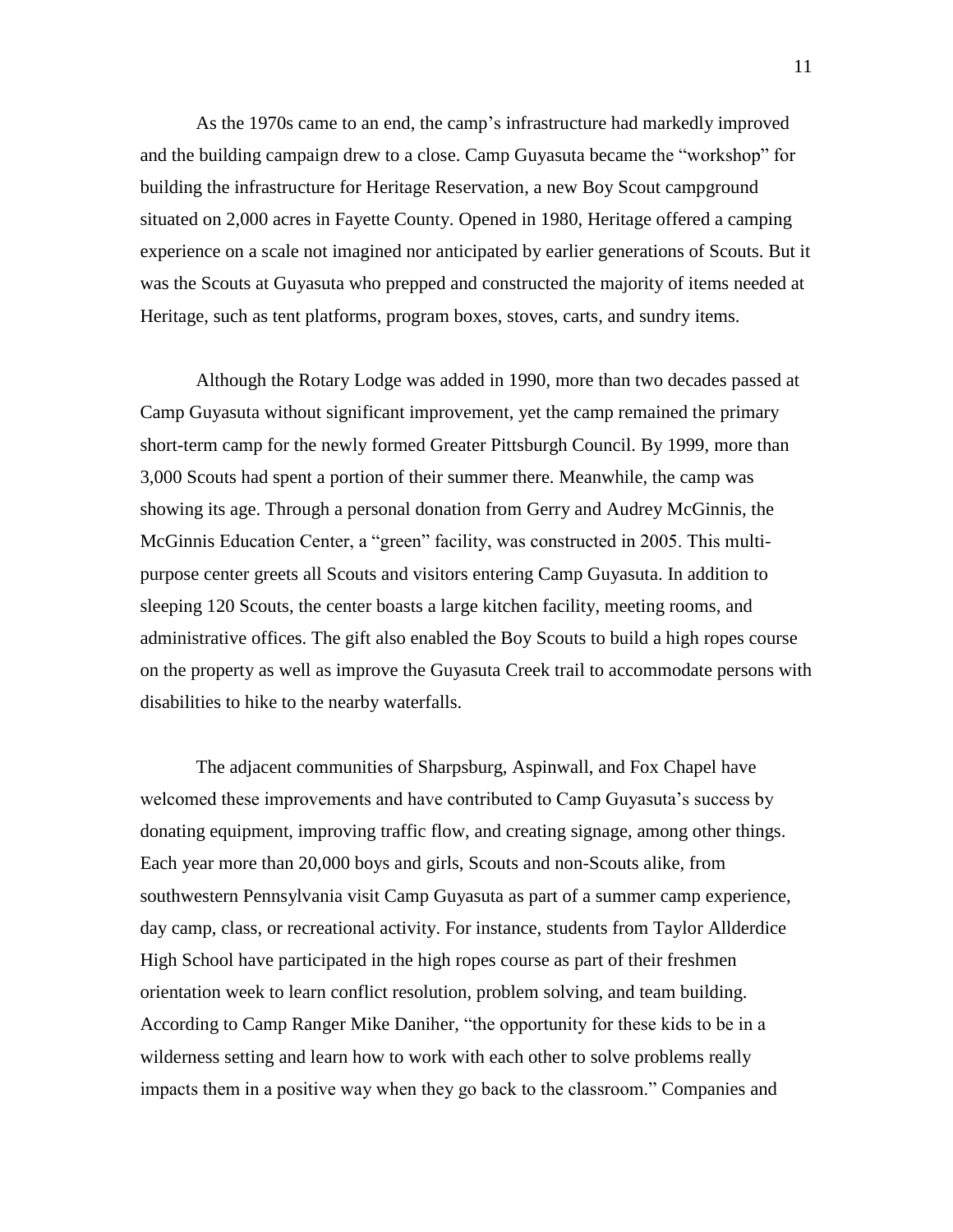As the 1970s came to an end, the camp"s infrastructure had markedly improved and the building campaign drew to a close. Camp Guyasuta became the "workshop" for building the infrastructure for Heritage Reservation, a new Boy Scout campground situated on 2,000 acres in Fayette County. Opened in 1980, Heritage offered a camping experience on a scale not imagined nor anticipated by earlier generations of Scouts. But it was the Scouts at Guyasuta who prepped and constructed the majority of items needed at Heritage, such as tent platforms, program boxes, stoves, carts, and sundry items.

Although the Rotary Lodge was added in 1990, more than two decades passed at Camp Guyasuta without significant improvement, yet the camp remained the primary short-term camp for the newly formed Greater Pittsburgh Council. By 1999, more than 3,000 Scouts had spent a portion of their summer there. Meanwhile, the camp was showing its age. Through a personal donation from Gerry and Audrey McGinnis, the McGinnis Education Center, a "green" facility, was constructed in 2005. This multipurpose center greets all Scouts and visitors entering Camp Guyasuta. In addition to sleeping 120 Scouts, the center boasts a large kitchen facility, meeting rooms, and administrative offices. The gift also enabled the Boy Scouts to build a high ropes course on the property as well as improve the Guyasuta Creek trail to accommodate persons with disabilities to hike to the nearby waterfalls.

The adjacent communities of Sharpsburg, Aspinwall, and Fox Chapel have welcomed these improvements and have contributed to Camp Guyasuta's success by donating equipment, improving traffic flow, and creating signage, among other things. Each year more than 20,000 boys and girls, Scouts and non-Scouts alike, from southwestern Pennsylvania visit Camp Guyasuta as part of a summer camp experience, day camp, class, or recreational activity. For instance, students from Taylor Allderdice High School have participated in the high ropes course as part of their freshmen orientation week to learn conflict resolution, problem solving, and team building. According to Camp Ranger Mike Daniher, "the opportunity for these kids to be in a wilderness setting and learn how to work with each other to solve problems really impacts them in a positive way when they go back to the classroom." Companies and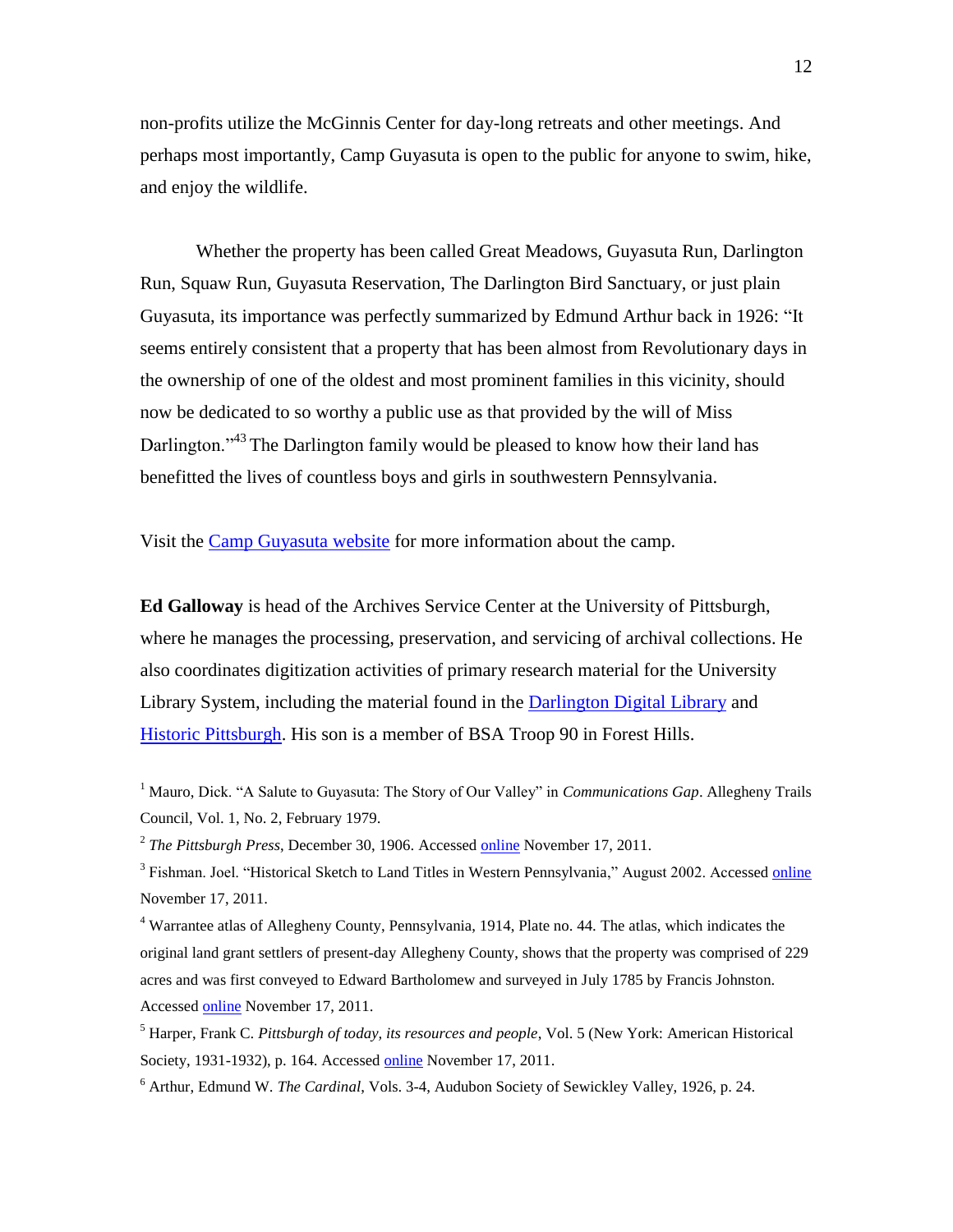non-profits utilize the McGinnis Center for day-long retreats and other meetings. And perhaps most importantly, Camp Guyasuta is open to the public for anyone to swim, hike, and enjoy the wildlife.

Whether the property has been called Great Meadows, Guyasuta Run, Darlington Run, Squaw Run, Guyasuta Reservation, The Darlington Bird Sanctuary, or just plain Guyasuta, its importance was perfectly summarized by Edmund Arthur back in 1926: "It seems entirely consistent that a property that has been almost from Revolutionary days in the ownership of one of the oldest and most prominent families in this vicinity, should now be dedicated to so worthy a public use as that provided by the will of Miss Darlington."<sup>43</sup> The Darlington family would be pleased to know how their land has benefitted the lives of countless boys and girls in southwestern Pennsylvania.

Visit the [Camp Guyasuta website](http://www.campguyasuta.org/) for more information about the camp.

**Ed Galloway** is head of the Archives Service Center at the University of Pittsburgh, where he manages the processing, preservation, and servicing of archival collections. He also coordinates digitization activities of primary research material for the University Library System, including the material found in the [Darlington Digital Library](http://darlington.library.pitt.edu/) and [Historic Pittsburgh.](http://digital.library.pitt.edu/pittsburgh/) His son is a member of BSA Troop 90 in Forest Hills.

<sup>1</sup> Mauro, Dick. "A Salute to Guyasuta: The Story of Our Valley" in *Communications Gap*. Allegheny Trails Council, Vol. 1, No. 2, February 1979.

<sup>2</sup> The Pittsburgh Press, December 30, 1906. Accessed **online** November 17, 2011.

<sup>3</sup> Fishman. Joel. "Historical Sketch to Land Titles in Western Pennsylvania," August 2002. Accessed *online* November 17, 2011.

<sup>4</sup> Warrantee atlas of Allegheny County, Pennsylvania, 1914, Plate no. 44. The atlas, which indicates the original land grant settlers of present-day Allegheny County, shows that the property was comprised of 229 acres and was first conveyed to Edward Bartholomew and surveyed in July 1785 by Francis Johnston. Accessed [online](http://images.library.pitt.edu/cgi-bin/i/image/image-idx?view=entry&cc=maps&entryid=x-14warp44) November 17, 2011.

<sup>5</sup> Harper, Frank C. *Pittsburgh of today, its resources and people*, Vol. 5 (New York: American Historical Society, 1931-1932), p. 164. Accessed [online](http://digital.library.pitt.edu/cgi-bin/t/text/text-idx?idno=05agf0269m;view=toc;c=pitttext) November 17, 2011.

<sup>6</sup> Arthur, Edmund W. *The Cardinal*, Vols. 3-4, Audubon Society of Sewickley Valley, 1926, p. 24.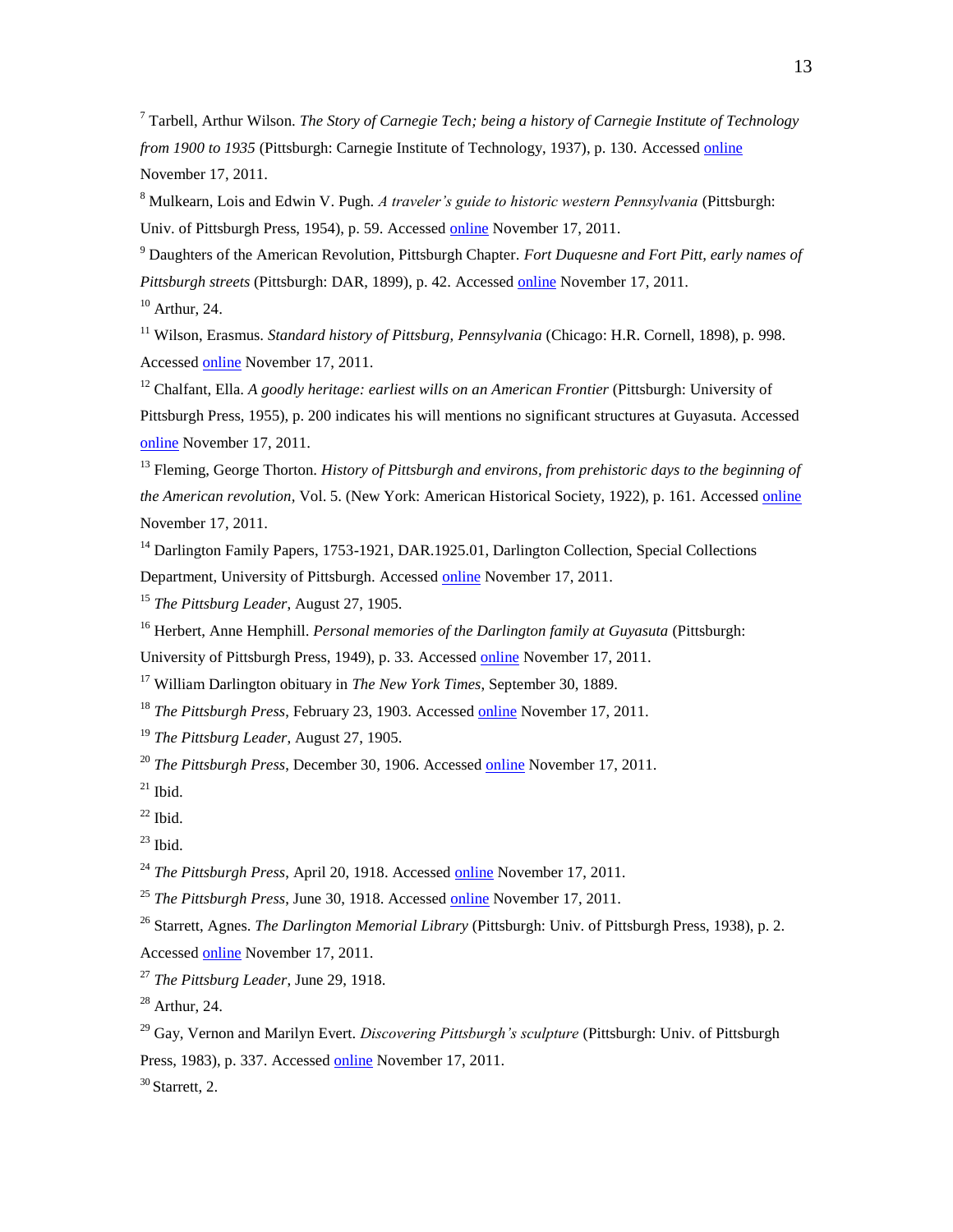<sup>7</sup> Tarbell, Arthur Wilson. *The Story of Carnegie Tech; being a history of Carnegie Institute of Technology from 1900 to 1935* (Pittsburgh: Carnegie Institute of Technology, 1937), p. 130. Accessed [online](http://digital.library.pitt.edu/cgi-bin/t/text/text-idx?idno=00agk8894m;view=toc;c=pitttext) November 17, 2011.

<sup>8</sup> Mulkearn, Lois and Edwin V. Pugh. *A traveler's guide to historic western Pennsylvania* (Pittsburgh: Univ. of Pittsburgh Press, 1954), p. 59. Accessed [online](http://digital.library.pitt.edu/cgi-bin/t/text/text-idx?idno=31735057894978;view=toc;c=pittpress) November 17, 2011.

<sup>9</sup> Daughters of the American Revolution, Pittsburgh Chapter. *Fort Duquesne and Fort Pitt, early names of Pittsburgh streets* (Pittsburgh: DAR, 1899), p. 42. Accessed [online](http://digital.library.pitt.edu/cgi-bin/t/text/text-idx?idno=00hc07443m;view=toc;c=pitttext) November 17, 2011.

 $10$  Arthur, 24.

<sup>11</sup> Wilson, Erasmus. *Standard history of Pittsburg, Pennsylvania* (Chicago: H.R. Cornell, 1898), p. 998. Accessed [online](http://digital.library.pitt.edu/cgi-bin/t/text/text-idx?idno=00hc03974m;view=toc;c=pitttext) November 17, 2011.

<sup>12</sup> Chalfant, Ella. *A goodly heritage: earliest wills on an American Frontier* (Pittsburgh: University of Pittsburgh Press, 1955), p. 200 indicates his will mentions no significant structures at Guyasuta. Accessed [online](http://digital.library.pitt.edu/cgi-bin/t/text/text-idx?idno=00afh9870m;view=toc;c=pitttext) November 17, 2011.

<sup>13</sup> Fleming, George Thorton. *History of Pittsburgh and environs, from prehistoric days to the beginning of the American revolution,* Vol. 5. (New York: American Historical Society, 1922), p. 161. Accessed [online](http://digital.library.pitt.edu/cgi-bin/t/text/text-idx?idno=05aee9405m;view=toc;c=pitttext) November 17, 2011.

<sup>14</sup> Darlington Family Papers, 1753-1921, DAR.1925.01, Darlington Collection, Special Collections Department, University of Pittsburgh. Accessed [online](http://digital.library.pitt.edu/cgi-bin/f/findaid/findaid-idx?type=simple;c=ascead;view=text;subview=outline;didno=US-PPiU-dar192501) November 17, 2011.

<sup>15</sup> *The Pittsburg Leader*, August 27, 1905.

<sup>16</sup> Herbert, Anne Hemphill. *Personal memories of the Darlington family at Guyasuta* (Pittsburgh:

University of Pittsburgh Press, 1949), p. 33. Accessed [online](http://digital.library.pitt.edu/cgi-bin/t/text/text-idx?idno=00add0707m;view=toc;c=pitttext) November 17, 2011.

<sup>17</sup> William Darlington obituary in *The New York Times*, September 30, 1889.

<sup>18</sup> *The Pittsburgh Press*, February 23, 1903. Accessed [online](http://news.google.com/newspapers?id=BggbAAAAIBAJ&sjid=mkgEAAAAIBAJ&dq=darlington%20and%20guyasuta&pg=1146%2C4280197) November 17, 2011.

<sup>19</sup> *The Pittsburg Leader*, August 27, 1905.

<sup>20</sup> *The Pittsburgh Press*, December 30, 1906. Accessed [online](http://news.google.com/newspapers?id=kBIbAAAAIBAJ&sjid=uUgEAAAAIBAJ&dq=darlington%20and%20guyasuta&pg=1299%2C6318703) November 17, 2011.

 $21$  Ibid.

 $22$  Ibid.

 $^{23}$  Ibid.

<sup>24</sup> *The Pittsburgh Press*, April 20, 1918. Accessed [online](http://news.google.com/newspapers?id=OB8bAAAAIBAJ&sjid=aEkEAAAAIBAJ&dq=darlington%20and%20guyasuta&pg=3836%2C1298258) November 17, 2011.

<sup>25</sup> *The Pittsburgh Press*, June 30, 1918. Accessed [online](http://news.google.com/newspapers?id=WrcaAAAAIBAJ&sjid=cEkEAAAAIBAJ&dq=darlington%20and%20guyasuta&pg=1968%2C4589114) November 17, 2011.

<sup>26</sup> Starrett, Agnes. *The Darlington Memorial Library* (Pittsburgh: Univ. of Pittsburgh Press, 1938), p. 2. Accessed [online](http://digital.library.pitt.edu/cgi-bin/t/text/text-idx?idno=00adg0067m;view=toc;c=pitttext) November 17, 2011.

<sup>27</sup> *The Pittsburg Leader*, June 29, 1918.

 $28$  Arthur, 24.

<sup>29</sup> Gay, Vernon and Marilyn Evert. *Discovering Pittsburgh's sculpture* (Pittsburgh: Univ. of Pittsburgh Press, 1983), p. 337. Accesse[d online](http://digital.library.pitt.edu/cgi-bin/t/text/text-idx?idno=31735057894895;view=toc;c=pittpress) November 17, 2011.

 $30$  Starrett, 2.